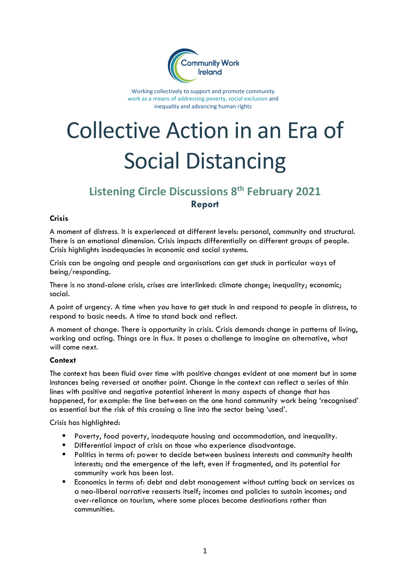

Working collectively to support and promote community work as a means of addressing poverty, social exclusion and inequality and advancing human rights

# Collective Action in an Era of Social Distancing

## **Listening Circle Discussions 8 th February 2021 Report**

### **Crisis**

A moment of distress. It is experienced at different levels: personal, community and structural. There is an emotional dimension. Crisis impacts differentially on different groups of people. Crisis highlights inadequacies in economic and social systems.

Crisis can be ongoing and people and organisations can get stuck in particular ways of being/responding.

There is no stand-alone crisis, crises are interlinked: climate change; inequality; economic; social.

A point of urgency. A time when you have to get stuck in and respond to people in distress, to respond to basic needs. A time to stand back and reflect.

A moment of change. There is opportunity in crisis. Crisis demands change in patterns of living, working and acting. Things are in flux. It poses a challenge to imagine an alternative, what will come next.

### **Context**

The context has been fluid over time with positive changes evident at one moment but in some instances being reversed at another point. Change in the context can reflect a series of thin lines with positive and negative potential inherent in many aspects of change that has happened, for example: the line between on the one hand community work being 'recognised' as essential but the risk of this crossing a line into the sector being 'used'.

Crisis has highlighted:

- Poverty, food poverty, inadequate housing and accommodation, and inequality.
- Differential impact of crisis on those who experience disadvantage.
- Politics in terms of: power to decide between business interests and community health interests; and the emergence of the left, even if fragmented, and its potential for community work has been lost.
- Economics in terms of: debt and debt management without cutting back on services as a neo-liberal narrative reasserts itself; incomes and policies to sustain incomes; and over-reliance on tourism, where some places become destinations rather than communities.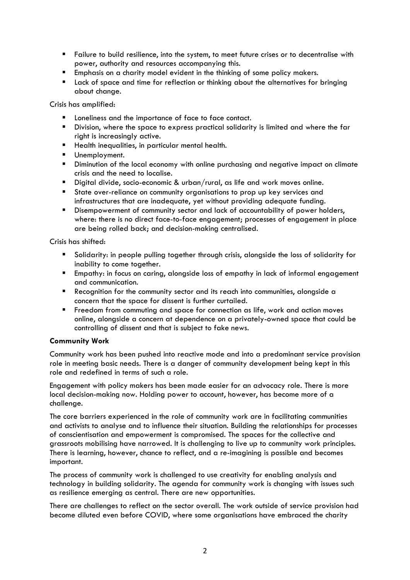- Failure to build resilience, into the system, to meet future crises or to decentralise with power, authority and resources accompanying this.
- Emphasis on a charity model evident in the thinking of some policy makers.<br>■ Lack of space and time for reflection or thinking about the alternatives for
- Lack of space and time for reflection or thinking about the alternatives for bringing about change.

Crisis has amplified:

- Loneliness and the importance of face to face contact.
- Division, where the space to express practical solidarity is limited and where the far right is increasingly active.
- Health inequalities, in particular mental health.
- Unemployment.
- **E** Diminution of the local economy with online purchasing and negative impact on climate crisis and the need to localise.
- Digital divide, socio-economic & urban/rural, as life and work moves online.
- State over-reliance on community organisations to prop up key services and infrastructures that are inadequate, yet without providing adequate funding.
- Disempowerment of community sector and lack of accountability of power holders, where: there is no direct face-to-face engagement; processes of engagement in place are being rolled back; and decision-making centralised.

Crisis has shifted:

- Solidarity: in people pulling together through crisis, alongside the loss of solidarity for inability to come together.
- Empathy: in focus on caring, alongside loss of empathy in lack of informal engagement and communication.
- Recognition for the community sector and its reach into communities, alongside a concern that the space for dissent is further curtailed.
- **E** Freedom from commuting and space for connection as life, work and action moves online, alongside a concern at dependence on a privately-owned space that could be controlling of dissent and that is subject to fake news.

### **Community Work**

Community work has been pushed into reactive mode and into a predominant service provision role in meeting basic needs. There is a danger of community development being kept in this role and redefined in terms of such a role.

Engagement with policy makers has been made easier for an advocacy role. There is more local decision-making now. Holding power to account, however, has become more of a challenge.

The core barriers experienced in the role of community work are in facilitating communities and activists to analyse and to influence their situation. Building the relationships for processes of conscientisation and empowerment is compromised. The spaces for the collective and grassroots mobilising have narrowed. It is challenging to live up to community work principles. There is learning, however, chance to reflect, and a re-imagining is possible and becomes important.

The process of community work is challenged to use creativity for enabling analysis and technology in building solidarity. The agenda for community work is changing with issues such as resilience emerging as central. There are new opportunities.

There are challenges to reflect on the sector overall. The work outside of service provision had become diluted even before COVID, where some organisations have embraced the charity